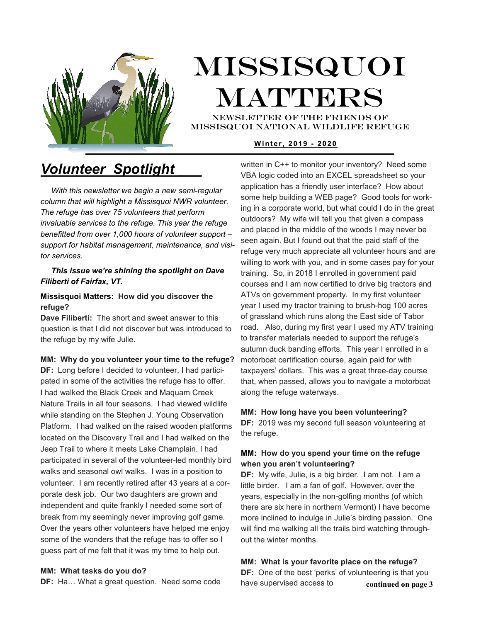

# Missisquoi **MATTERS** NEWSLETTER OF THE Friends of

missisquoi national Wildlife refuge

### **W i nt e r , 20 19 - 202 0**

## *Volunteer Spotlight \_\_\_*

 *With this newsletter we begin a new semi-regular column that will highlight a Missisquoi NWR volunteer. The refuge has over 75 volunteers that perform invaluable services to the refuge. This year the refuge benefitted from over 1,000 hours of volunteer support – support for habitat management, maintenance, and visitor services.* 

### *This issue we're shining the spotlight on Dave Filiberti of Fairfax, VT.*

### **Missisquoi Matters: How did you discover the refuge?**

**Dave Filiberti:** The short and sweet answer to this question is that I did not discover but was introduced to the refuge by my wife Julie.

### **MM: Why do you volunteer your time to the refuge?**  motorboat certification course, again paid for with

**DF:** Long before I decided to volunteer, I had participated in some of the activities the refuge has to offer. I had walked the Black Creek and Maquam Creek Nature Trails in all four seasons. I had viewed wildlife while standing on the Stephen J. Young Observation Platform. I had walked on the raised wooden platforms located on the Discovery Trail and I had walked on the Jeep Trail to where it meets Lake Champlain. I had participated in several of the volunteer-led monthly bird walks and seasonal owl walks. I was in a position to volunteer. I am recently retired after 43 years at a corporate desk job. Our two daughters are grown and independent and quite frankly I needed some sort of break from my seemingly never improving golf game. Over the years other volunteers have helped me enjoy some of the wonders that the refuge has to offer so I guess part of me felt that it was my time to help out.

### **MM: What tasks do you do?**

**DF:** Ha... What a great question. Need some code

written in C++ to monitor your inventory? Need some VBA logic coded into an EXCEL spreadsheet so your application has a friendly user interface? How about some help building a WEB page? Good tools for working in a corporate world, but what could I do in the great outdoors? My wife will tell you that given a compass and placed in the middle of the woods I may never be seen again. But I found out that the paid staff of the refuge very much appreciate all volunteer hours and are willing to work with you, and in some cases pay for your training. So, in 2018 I enrolled in government paid courses and I am now certified to drive big tractors and ATVs on government property. In my first volunteer year I used my tractor training to brush-hog 100 acres of grassland which runs along the East side of Tabor road. Also, during my first year I used my ATV training to transfer materials needed to support the refuge's autumn duck banding efforts. This year I enrolled in a taxpayers' dollars. This was a great three-day course that, when passed, allows you to navigate a motorboat along the refuge waterways.

### **MM: How long have you been volunteering?**

**DF:** 2019 was my second full season volunteering at the refuge.

### **MM: How do you spend your time on the refuge when you aren't volunteering?**

**DF:** My wife, Julie, is a big birder. I am not. I am a little birder. I am a fan of golf. However, over the years, especially in the non-golfing months (of which there are six here in northern Vermont) I have become more inclined to indulge in Julie's birding passion. One will find me walking all the trails bird watching throughout the winter months.

**MM: What is your favorite place on the refuge? DF:** One of the best 'perks' of volunteering is that you have supervised access to **continued on page 3**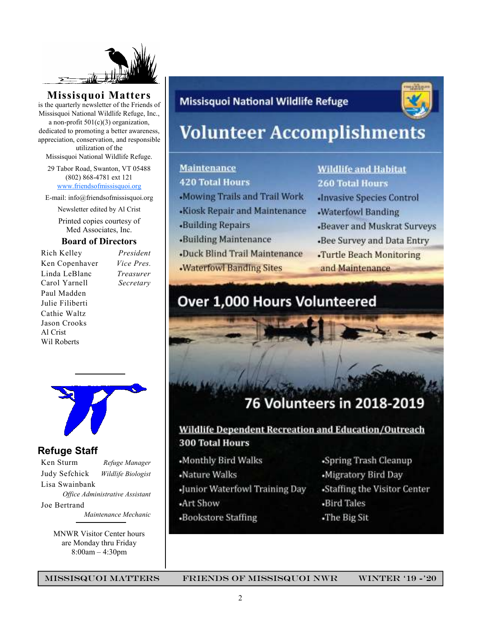

**Missisquoi Matters** 

is the quarterly newsletter of the Friends of Missisquoi National Wildlife Refuge, Inc., a non-profit  $501(c)(3)$  organization, dedicated to promoting a better awareness, appreciation, conservation, and responsible utilization of the

Missisquoi National Wildlife Refuge.

29 Tabor Road, Swanton, VT 05488 (802) 868-4781 ext 121 www.friendsofmissisquoi.org

E-mail: info@friendsofmissisquoi.org

Newsletter edited by Al Crist

Printed copies courtesy of Med Associates, Inc.

### **Board of Directors**

Rich Kelley *President* Ken Copenhaver *Vice Pres.* Linda LeBlanc *Treasurer* Carol Yarnell *Secretary*  Paul Madden Julie Filiberti Cathie Waltz Jason Crooks Al Crist Wil Roberts

## **Refuge Staff**

Ken Sturm *Refuge Manager* Judy Sefchick *Wildlife Biologist* Lisa Swainbank *Office Administrative Assistant*  Joe Bertrand  *Maintenance Mechanic*

MNWR Visitor Center hours are Monday thru Friday 8:00am – 4:30pm

## **Missisquoi National Wildlife Refuge**



# **Volunteer Accomplishments**

## **Maintenance**

**420 Total Hours** 

- -Mowing Trails and Trail Work
- -Kiosk Repair and Maintenance
- **Building Repairs**
- «Building Maintenance
- **-Duck Blind Trail Maintenance**
- **Waterfowl Banding Sites**

## **Wildlife and Habitat 260 Total Hours**

- **Invasive Species Control**
- -Waterfowl Banding
- -Beaver and Muskrat Surveys
- -Bee Survey and Data Entry
- -Turtle Beach Monitoring and Maintenance

## Over 1,000 Hours Volunteered

## 76 Volunteers in 2018-2019

## **Wildlife Dependent Recreation and Education/Outreach 300 Total Hours**

- Monthly Bird Walks
- -Nature Walks
- -Junior Waterfowl Training Day
- -Art Show
- -Bookstore Staffing
- -Spring Trash Cleanup
- -Migratory Bird Day
- -Staffing the Visitor Center
- -Bird Tales
- -The Big Sit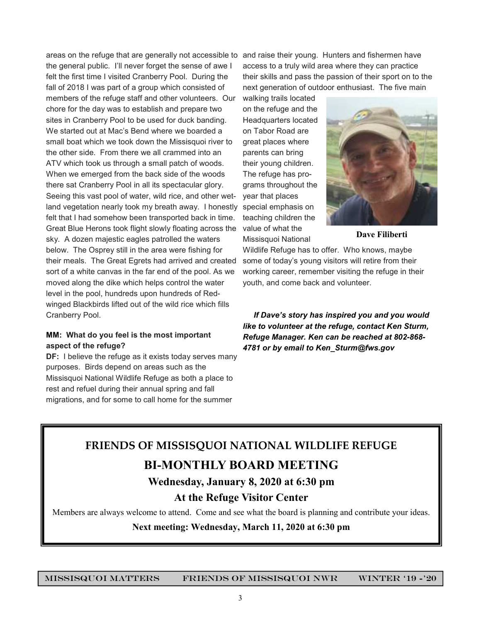areas on the refuge that are generally not accessible to and raise their young. Hunters and fishermen have the general public. I'll never forget the sense of awe I felt the first time I visited Cranberry Pool. During the fall of 2018 I was part of a group which consisted of members of the refuge staff and other volunteers. Our chore for the day was to establish and prepare two sites in Cranberry Pool to be used for duck banding. We started out at Mac's Bend where we boarded a small boat which we took down the Missisquoi river to the other side. From there we all crammed into an ATV which took us through a small patch of woods. When we emerged from the back side of the woods there sat Cranberry Pool in all its spectacular glory. Seeing this vast pool of water, wild rice, and other wetland vegetation nearly took my breath away. I honestly felt that I had somehow been transported back in time. Great Blue Herons took flight slowly floating across the sky. A dozen majestic eagles patrolled the waters below. The Osprey still in the area were fishing for their meals. The Great Egrets had arrived and created sort of a white canvas in the far end of the pool. As we moved along the dike which helps control the water level in the pool, hundreds upon hundreds of Redwinged Blackbirds lifted out of the wild rice which fills Cranberry Pool.

### **MM: What do you feel is the most important aspect of the refuge?**

**DF:** I believe the refuge as it exists today serves many purposes. Birds depend on areas such as the Missisquoi National Wildlife Refuge as both a place to rest and refuel during their annual spring and fall migrations, and for some to call home for the summer

access to a truly wild area where they can practice their skills and pass the passion of their sport on to the next generation of outdoor enthusiast. The five main

walking trails located on the refuge and the Headquarters located on Tabor Road are great places where parents can bring their young children. The refuge has programs throughout the year that places special emphasis on teaching children the value of what the Missisquoi National



**Dave Filiberti** 

Wildlife Refuge has to offer. Who knows, maybe some of today's young visitors will retire from their working career, remember visiting the refuge in their youth, and come back and volunteer.

 *If Dave's story has inspired you and you would like to volunteer at the refuge, contact Ken Sturm, Refuge Manager. Ken can be reached at 802-868- 4781 or by email to Ken\_Sturm@fws.gov*

## **FRIENDS OF MISSISQUOI NATIONAL WILDLIFE REFUGE**

## **BI-MONTHLY BOARD MEETING**

### **Wednesday, January 8, 2020 at 6:30 pm**

### **At the Refuge Visitor Center**

Members are always welcome to attend. Come and see what the board is planning and contribute your ideas.

**Next meeting: Wednesday, March 11, 2020 at 6:30 pm**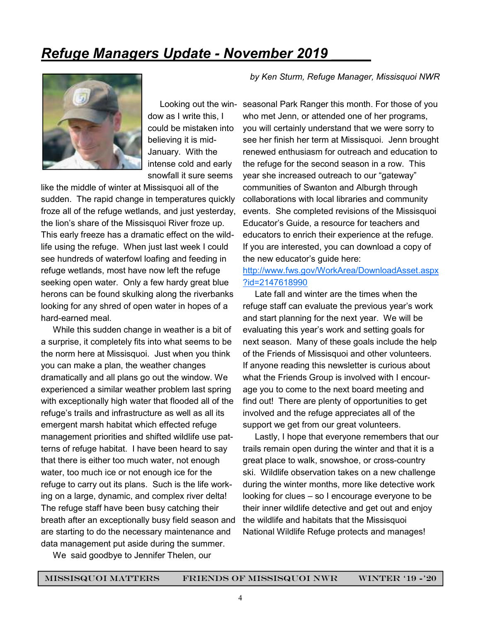## *Refuge Managers Update - November 2019 \_\_\_\_\_*



dow as I write this, I could be mistaken into believing it is mid-January. With the intense cold and early snowfall it sure seems

like the middle of winter at Missisquoi all of the sudden. The rapid change in temperatures quickly froze all of the refuge wetlands, and just yesterday, the lion's share of the Missisquoi River froze up. This early freeze has a dramatic effect on the wildlife using the refuge. When just last week I could see hundreds of waterfowl loafing and feeding in refuge wetlands, most have now left the refuge seeking open water. Only a few hardy great blue herons can be found skulking along the riverbanks looking for any shred of open water in hopes of a hard-earned meal.

 While this sudden change in weather is a bit of a surprise, it completely fits into what seems to be the norm here at Missisquoi. Just when you think you can make a plan, the weather changes dramatically and all plans go out the window. We experienced a similar weather problem last spring with exceptionally high water that flooded all of the refuge's trails and infrastructure as well as all its emergent marsh habitat which effected refuge management priorities and shifted wildlife use patterns of refuge habitat. I have been heard to say that there is either too much water, not enough water, too much ice or not enough ice for the refuge to carry out its plans. Such is the life working on a large, dynamic, and complex river delta! The refuge staff have been busy catching their breath after an exceptionally busy field season and are starting to do the necessary maintenance and data management put aside during the summer.

*by Ken Sturm, Refuge Manager, Missisquoi NWR* 

 Looking out the win-seasonal Park Ranger this month. For those of you who met Jenn, or attended one of her programs, you will certainly understand that we were sorry to see her finish her term at Missisquoi. Jenn brought renewed enthusiasm for outreach and education to the refuge for the second season in a row. This year she increased outreach to our "gateway" communities of Swanton and Alburgh through collaborations with local libraries and community events. She completed revisions of the Missisquoi Educator's Guide, a resource for teachers and educators to enrich their experience at the refuge. If you are interested, you can download a copy of the new educator's guide here:

### http://www.fws.gov/WorkArea/DownloadAsset.aspx ?id=2147618990

 Late fall and winter are the times when the refuge staff can evaluate the previous year's work and start planning for the next year. We will be evaluating this year's work and setting goals for next season. Many of these goals include the help of the Friends of Missisquoi and other volunteers. If anyone reading this newsletter is curious about what the Friends Group is involved with I encourage you to come to the next board meeting and find out! There are plenty of opportunities to get involved and the refuge appreciates all of the support we get from our great volunteers.

 Lastly, I hope that everyone remembers that our trails remain open during the winter and that it is a great place to walk, snowshoe, or cross-country ski. Wildlife observation takes on a new challenge during the winter months, more like detective work looking for clues – so I encourage everyone to be their inner wildlife detective and get out and enjoy the wildlife and habitats that the Missisquoi National Wildlife Refuge protects and manages!

We said goodbye to Jennifer Thelen, our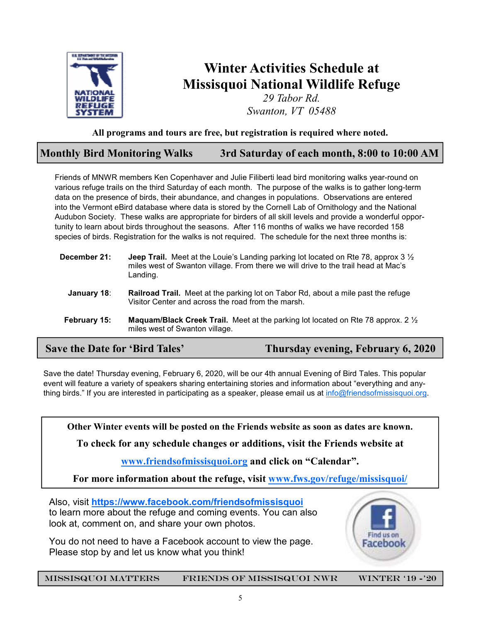

## **Winter Activities Schedule at Missisquoi National Wildlife Refuge**

*29 Tabor Rd. Swanton, VT 05488*

### **All programs and tours are free, but registration is required where noted.**

### **Monthly Bird Monitoring Walks 3rd Saturday of each month, 8:00 to 10:00 AM**

Friends of MNWR members Ken Copenhaver and Julie Filiberti lead bird monitoring walks year-round on various refuge trails on the third Saturday of each month. The purpose of the walks is to gather long-term data on the presence of birds, their abundance, and changes in populations. Observations are entered into the Vermont eBird database where data is stored by the Cornell Lab of Ornithology and the National Audubon Society. These walks are appropriate for birders of all skill levels and provide a wonderful opportunity to learn about birds throughout the seasons. After 116 months of walks we have recorded 158 species of birds. Registration for the walks is not required. The schedule for the next three months is:

| December 21: | <b>Jeep Trail.</b> Meet at the Louie's Landing parking lot located on Rte 78, approx 3 $\frac{1}{2}$<br>miles west of Swanton village. From there we will drive to the trail head at Mac's |
|--------------|--------------------------------------------------------------------------------------------------------------------------------------------------------------------------------------------|
|              | Landing.                                                                                                                                                                                   |

- **January 18**: **Railroad Trail.** Meet at the parking lot on Tabor Rd, about a mile past the refuge Visitor Center and across the road from the marsh.
- **February 15: Maquam/Black Creek Trail.** Meet at the parking lot located on Rte 78 approx. 2 ½ miles west of Swanton village.

 **Save the Date for 'Bird Tales' Thursday evening, February 6, 2020** 

Save the date! Thursday evening, February 6, 2020, will be our 4th annual Evening of Bird Tales. This popular event will feature a variety of speakers sharing entertaining stories and information about "everything and anything birds." If you are interested in participating as a speaker, please email us at info@friendsofmissisquoi.org.

**Other Winter events will be posted on the Friends website as soon as dates are known.** 

**To check for any schedule changes or additions, visit the Friends website at** 

**www.friendsofmissisquoi.org and click on "Calendar".** 

**For more information about the refuge, visit www.fws.gov/refuge/missisquoi/**

Also, visit **https://www.facebook.com/friendsofmissisquoi**  to learn more about the refuge and coming events. You can also look at, comment on, and share your own photos.

You do not need to have a Facebook account to view the page. Please stop by and let us know what you think!

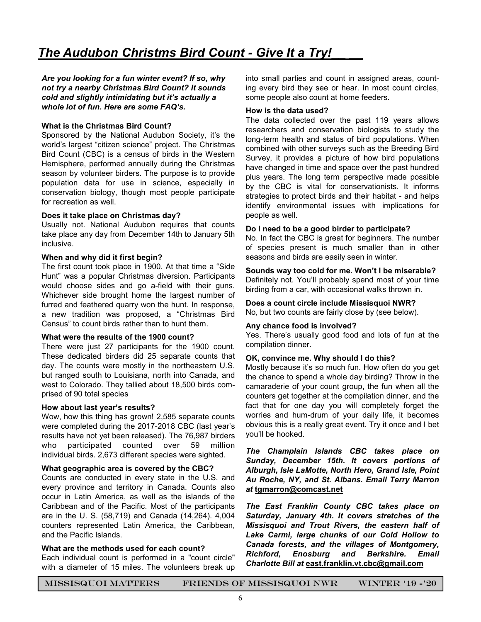*Are you looking for a fun winter event? If so, why not try a nearby Christmas Bird Count? It sounds cold and slightly intimidating but it's actually a whole lot of fun. Here are some FAQ's.* 

### **What is the Christmas Bird Count?**

Sponsored by the National Audubon Society, it's the world's largest "citizen science" project. The Christmas Bird Count (CBC) is a census of birds in the Western Hemisphere, performed annually during the Christmas season by volunteer birders. The purpose is to provide population data for use in science, especially in conservation biology, though most people participate for recreation as well

### **Does it take place on Christmas day?**

Usually not. National Audubon requires that counts take place any day from December 14th to January 5th inclusive.

#### **When and why did it first begin?**

The first count took place in 1900. At that time a "Side Hunt" was a popular Christmas diversion. Participants would choose sides and go a-field with their guns. Whichever side brought home the largest number of furred and feathered quarry won the hunt. In response, a new tradition was proposed, a "Christmas Bird Census" to count birds rather than to hunt them.

### **What were the results of the 1900 count?**

There were just 27 participants for the 1900 count. These dedicated birders did 25 separate counts that day. The counts were mostly in the northeastern U.S. but ranged south to Louisiana, north into Canada, and west to Colorado. They tallied about 18,500 birds comprised of 90 total species

### **How about last year's results?**

Wow, how this thing has grown! 2,585 separate counts were completed during the 2017-2018 CBC (last year's results have not yet been released). The 76,987 birders who participated counted over 59 million individual birds. 2,673 different species were sighted.

### **What geographic area is covered by the CBC?**

Counts are conducted in every state in the U.S. and every province and territory in Canada. Counts also occur in Latin America, as well as the islands of the Caribbean and of the Pacific. Most of the participants are in the U. S. (58,719) and Canada (14,264). 4,004 counters represented Latin America, the Caribbean, and the Pacific Islands.

### **What are the methods used for each count?**

Each individual count is performed in a "count circle" with a diameter of 15 miles. The volunteers break up into small parties and count in assigned areas, counting every bird they see or hear. In most count circles, some people also count at home feeders.

#### **How is the data used?**

The data collected over the past 119 years allows researchers and conservation biologists to study the long-term health and status of bird populations. When combined with other surveys such as the Breeding Bird Survey, it provides a picture of how bird populations have changed in time and space over the past hundred plus years. The long term perspective made possible by the CBC is vital for conservationists. It informs strategies to protect birds and their habitat - and helps identify environmental issues with implications for people as well.

#### **Do I need to be a good birder to participate?**

No. In fact the CBC is great for beginners. The number of species present is much smaller than in other seasons and birds are easily seen in winter.

## **Sounds way too cold for me. Won't I be miserable?**

Definitely not. You'll probably spend most of your time birding from a car, with occasional walks thrown in.

**Does a count circle include Missisquoi NWR?**  No, but two counts are fairly close by (see below).

#### **Any chance food is involved?**

Yes. There's usually good food and lots of fun at the compilation dinner.

#### **OK, convince me. Why should I do this?**

Mostly because it's so much fun. How often do you get the chance to spend a whole day birding? Throw in the camaraderie of your count group, the fun when all the counters get together at the compilation dinner, and the fact that for one day you will completely forget the worries and hum-drum of your daily life, it becomes obvious this is a really great event. Try it once and I bet you'll be hooked.

*The Champlain Islands CBC takes place on Sunday, December 15th. It covers portions of Alburgh, Isle LaMotte, North Hero, Grand Isle, Point Au Roche, NY, and St. Albans. Email Terry Marron at* **tgmarron@comcast.net**

*The East Franklin County CBC takes place on Saturday, January 4th. It covers stretches of the Missisquoi and Trout Rivers, the eastern half of Lake Carmi, large chunks of our Cold Hollow to Canada forests, and the villages of Montgomery, Richford, Enosburg and Berkshire. Email Charlotte Bill at* **east.franklin.vt.cbc@gmail.com**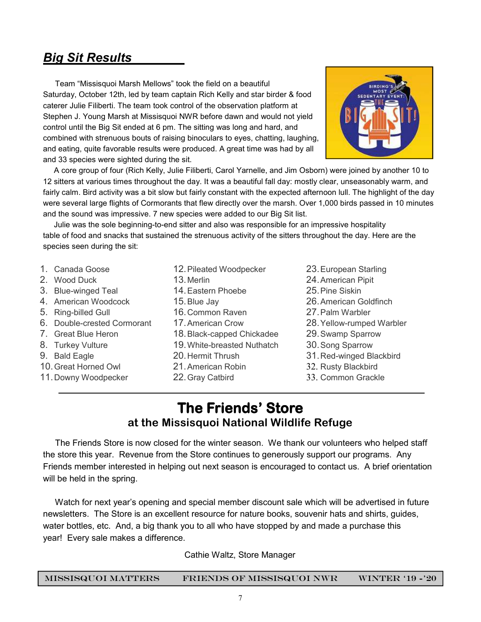## *Big Sit Results\_\_\_\_\_*

 Team "Missisquoi Marsh Mellows" took the field on a beautiful Saturday, October 12th, led by team captain Rich Kelly and star birder & food caterer Julie Filiberti. The team took control of the observation platform at Stephen J. Young Marsh at Missisquoi NWR before dawn and would not yield control until the Big Sit ended at 6 pm. The sitting was long and hard, and combined with strenuous bouts of raising binoculars to eyes, chatting, laughing, and eating, quite favorable results were produced. A great time was had by all and 33 species were sighted during the sit.



 A core group of four (Rich Kelly, Julie Filiberti, Carol Yarnelle, and Jim Osborn) were joined by another 10 to 12 sitters at various times throughout the day. It was a beautiful fall day: mostly clear, unseasonably warm, and fairly calm. Bird activity was a bit slow but fairly constant with the expected afternoon lull. The highlight of the day were several large flights of Cormorants that flew directly over the marsh. Over 1,000 birds passed in 10 minutes and the sound was impressive. 7 new species were added to our Big Sit list.

 Julie was the sole beginning-to-end sitter and also was responsible for an impressive hospitality table of food and snacks that sustained the strenuous activity of the sitters throughout the day. Here are the species seen during the sit:

- 1. Canada Goose 2. Wood Duck 3. Blue-winged Teal 4. American Woodcock 5. Ring-billed Gull 6. Double-crested Cormorant 7. Great Blue Heron 8. Turkey Vulture 9. Bald Eagle 10. Great Horned Owl 11. Downy Woodpecker 12. Pileated Woodpecker 13. Merlin 14. Eastern Phoebe 15. Blue Jay 16. Common Raven 17. American Crow 18. Black-capped Chickadee 19. White-breasted Nuthatch 20. Hermit Thrush 21. American Robin 22. Gray Catbird
	- 23. European Starling
	- 24. American Pipit
	- 25. Pine Siskin
	- 26. American Goldfinch
	- 27. Palm Warbler
	- 28. Yellow-rumped Warbler
	- 29. Swamp Sparrow
	- 30. Song Sparrow
	- 31. Red-winged Blackbird
	- 32. Rusty Blackbird
	- 33. Common Grackle

## **The Friends' Store at the Missisquoi National Wildlife Refuge**

 The Friends Store is now closed for the winter season. We thank our volunteers who helped staff the store this year. Revenue from the Store continues to generously support our programs. Any Friends member interested in helping out next season is encouraged to contact us. A brief orientation will be held in the spring.

 Watch for next year's opening and special member discount sale which will be advertised in future newsletters. The Store is an excellent resource for nature books, souvenir hats and shirts, guides, water bottles, etc. And, a big thank you to all who have stopped by and made a purchase this year! Every sale makes a difference.

Cathie Waltz, Store Manager

| MISSISQUOI MATTERS | <b>FRIENDS OF MISSISQUOI NWR</b> | <b>WINTER '19 -'20</b> |
|--------------------|----------------------------------|------------------------|
|                    |                                  |                        |